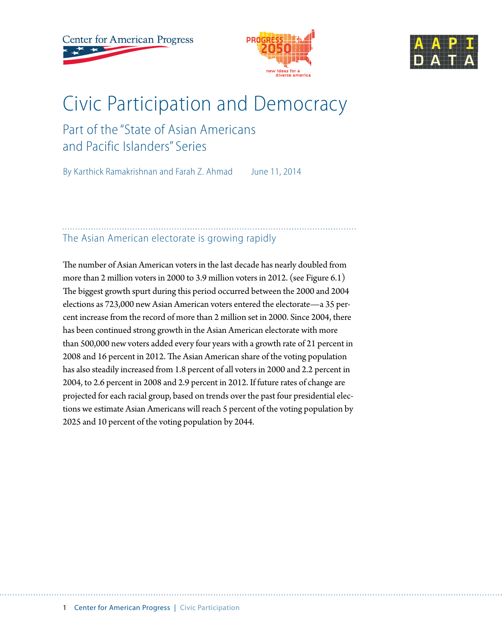**Center for American Progress** 





## Civic Participation and Democracy

## Part of the "State of Asian Americans and Pacific Islanders" Series

By Karthick Ramakrishnan and Farah Z. Ahmad June 11, 2014

### The Asian American electorate is growing rapidly

The number of Asian American voters in the last decade has nearly doubled from more than 2 million voters in 2000 to 3.9 million voters in 2012. (see Figure 6.1) The biggest growth spurt during this period occurred between the 2000 and 2004 elections as 723,000 new Asian American voters entered the electorate—a 35 percent increase from the record of more than 2 million set in 2000. Since 2004, there has been continued strong growth in the Asian American electorate with more than 500,000 new voters added every four years with a growth rate of 21 percent in 2008 and 16 percent in 2012. The Asian American share of the voting population has also steadily increased from 1.8 percent of all voters in 2000 and 2.2 percent in 2004, to 2.6 percent in 2008 and 2.9 percent in 2012. If future rates of change are projected for each racial group, based on trends over the past four presidential elections we estimate Asian Americans will reach 5 percent of the voting population by 2025 and 10 percent of the voting population by 2044.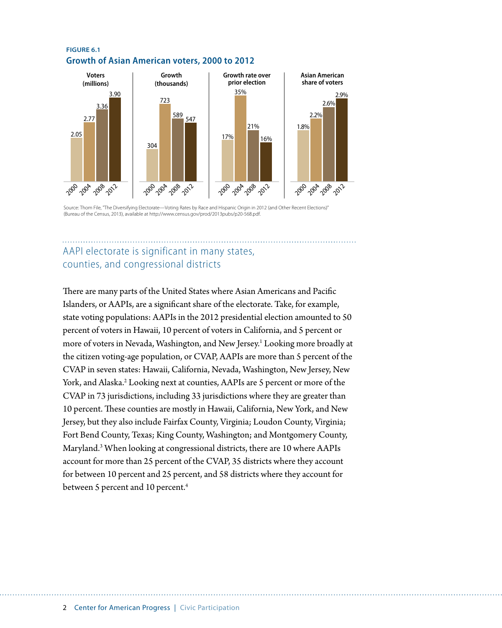#### **FIGURE 6.1 Growth of Asian American voters, 2000 to 2012**



Source: Thom File, "The Diversifying Electorate—Voting Rates by Race and Hispanic Origin in 2012 (and Other Recent Elections)" (Bureau of the Census, 2013), available at http://www.census.gov/prod/2013pubs/p20-568.pdf.

### AAPI electorate is significant in many states, counties, and congressional districts

There are many parts of the United States where Asian Americans and Pacific Islanders, or AAPIs, are a significant share of the electorate. Take, for example, state voting populations: AAPIs in the 2012 presidential election amounted to 50 percent of voters in Hawaii, 10 percent of voters in California, and 5 percent or more of voters in Nevada, Washington, and New Jersey.<sup>1</sup> Looking more broadly at the citizen voting-age population, or CVAP, AAPIs are more than 5 percent of the CVAP in seven states: Hawaii, California, Nevada, Washington, New Jersey, New York, and Alaska.<sup>2</sup> Looking next at counties, AAPIs are 5 percent or more of the CVAP in 73 jurisdictions, including 33 jurisdictions where they are greater than 10 percent. These counties are mostly in Hawaii, California, New York, and New Jersey, but they also include Fairfax County, Virginia; Loudon County, Virginia; Fort Bend County, Texas; King County, Washington; and Montgomery County, Maryland.3 When looking at congressional districts, there are 10 where AAPIs account for more than 25 percent of the CVAP, 35 districts where they account for between 10 percent and 25 percent, and 58 districts where they account for between 5 percent and 10 percent.<sup>4</sup>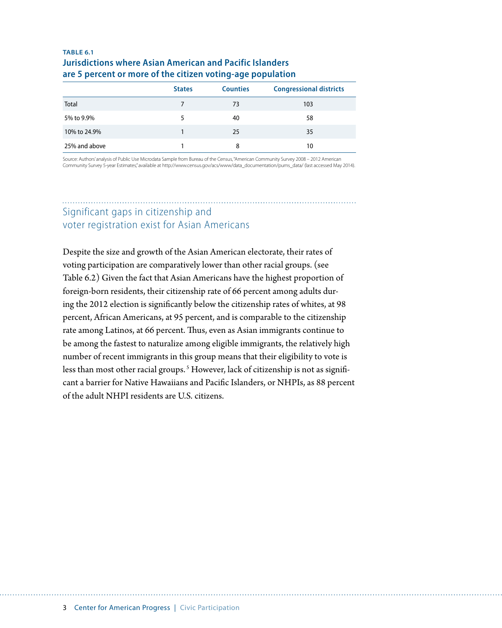### **TABLE 6.1 Jurisdictions where Asian American and Pacific Islanders are 5 percent or more of the citizen voting-age population**

|               | <b>States</b> | <b>Counties</b> | <b>Congressional districts</b> |
|---------------|---------------|-----------------|--------------------------------|
| Total         | 7             | 73              | 103                            |
| 5% to 9.9%    | 5             | 40              | 58                             |
| 10% to 24.9%  |               | 25              | 35                             |
| 25% and above |               | 8               | 10                             |

Source: Authors' analysis of Public Use Microdata Sample from Bureau of the Census, "American Community Survey 2008 – 2012 American Community Survey 5-year Estimates," available at http://www.census.gov/acs/www/data\_documentation/pums\_data/ (last accessed May 2014).

### Significant gaps in citizenship and voter registration exist for Asian Americans

Despite the size and growth of the Asian American electorate, their rates of voting participation are comparatively lower than other racial groups. (see Table 6.2) Given the fact that Asian Americans have the highest proportion of foreign-born residents, their citizenship rate of 66 percent among adults during the 2012 election is significantly below the citizenship rates of whites, at 98 percent, African Americans, at 95 percent, and is comparable to the citizenship rate among Latinos, at 66 percent. Thus, even as Asian immigrants continue to be among the fastest to naturalize among eligible immigrants, the relatively high number of recent immigrants in this group means that their eligibility to vote is less than most other racial groups.<sup>5</sup> However, lack of citizenship is not as significant a barrier for Native Hawaiians and Pacific Islanders, or NHPIs, as 88 percent of the adult NHPI residents are U.S. citizens.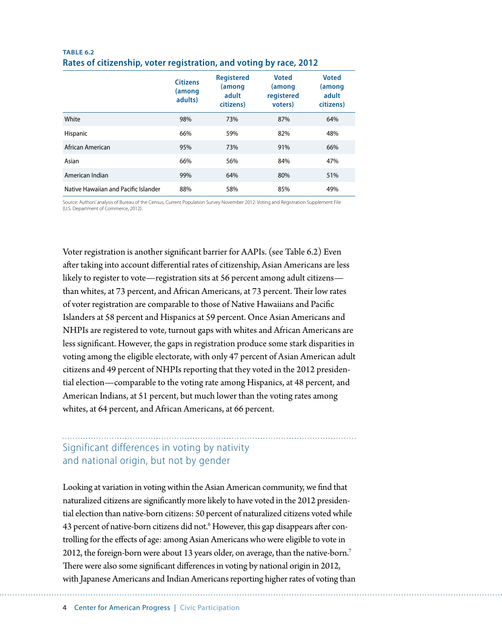| TABLE 6.2                                                          |  |  |
|--------------------------------------------------------------------|--|--|
| Rates of citizenship, voter registration, and voting by race, 2012 |  |  |

|                                      | <b>Citizens</b><br>(among<br>adults) | <b>Registered</b><br>(among<br>adult<br>citizens) | <b>Voted</b><br>(among<br>registered<br>voters) | <b>Voted</b><br>(among<br>adult<br>citizens) |
|--------------------------------------|--------------------------------------|---------------------------------------------------|-------------------------------------------------|----------------------------------------------|
| White                                | 98%                                  | 73%                                               | 87%                                             | 64%                                          |
| Hispanic                             | 66%                                  | 59%                                               | 82%                                             | 48%                                          |
| African American                     | 95%                                  | 73%                                               | 91%                                             | 66%                                          |
| Asian                                | 66%                                  | 56%                                               | 84%                                             | 47%                                          |
| American Indian                      | 99%                                  | 64%                                               | 80%                                             | 51%                                          |
| Native Hawaiian and Pacific Islander | 88%                                  | 58%                                               | 85%                                             | 49%                                          |

Source: Authors' analysis of Bureau of the Census, Current Population Survey November 2012: Voting and Registration Supplement File (U.S. Department of Commerce, 2012).

Voter registration is another significant barrier for AAPIs. (see Table 6.2) Even after taking into account differential rates of citizenship, Asian Americans are less likely to register to vote—registration sits at 56 percent among adult citizens than whites, at 73 percent, and African Americans, at 73 percent. Their low rates of voter registration are comparable to those of Native Hawaiians and Pacific Islanders at 58 percent and Hispanics at 59 percent. Once Asian Americans and NHPIs are registered to vote, turnout gaps with whites and African Americans are less significant. However, the gaps in registration produce some stark disparities in voting among the eligible electorate, with only 47 percent of Asian American adult citizens and 49 percent of NHPIs reporting that they voted in the 2012 presidential election—comparable to the voting rate among Hispanics, at 48 percent, and American Indians, at 51 percent, but much lower than the voting rates among whites, at 64 percent, and African Americans, at 66 percent.

### Significant differences in voting by nativity and national origin, but not by gender

Looking at variation in voting within the Asian American community, we find that naturalized citizens are significantly more likely to have voted in the 2012 presidential election than native-born citizens: 50 percent of naturalized citizens voted while 43 percent of native-born citizens did not.<sup>6</sup> However, this gap disappears after controlling for the effects of age: among Asian Americans who were eligible to vote in 2012, the foreign-born were about 13 years older, on average, than the native-born.7 There were also some significant differences in voting by national origin in 2012, with Japanese Americans and Indian Americans reporting higher rates of voting than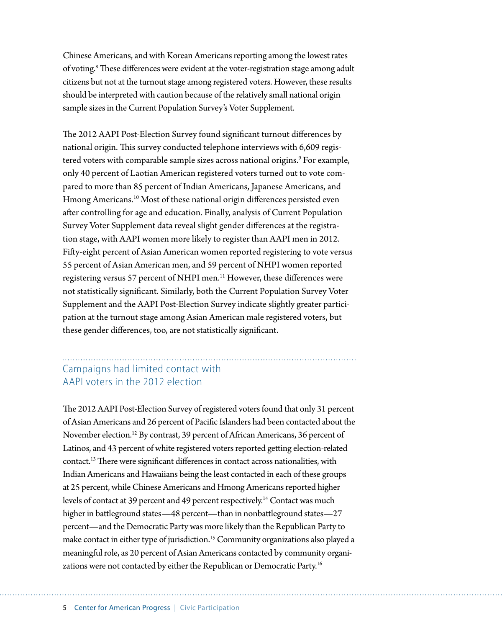Chinese Americans, and with Korean Americans reporting among the lowest rates of voting.<sup>8</sup> These differences were evident at the voter-registration stage among adult citizens but not at the turnout stage among registered voters. However, these results should be interpreted with caution because of the relatively small national origin sample sizes in the Current Population Survey's Voter Supplement.

The 2012 AAPI Post-Election Survey found significant turnout differences by national origin. This survey conducted telephone interviews with 6,609 registered voters with comparable sample sizes across national origins.<sup>9</sup> For example, only 40 percent of Laotian American registered voters turned out to vote compared to more than 85 percent of Indian Americans, Japanese Americans, and Hmong Americans.<sup>10</sup> Most of these national origin differences persisted even after controlling for age and education. Finally, analysis of Current Population Survey Voter Supplement data reveal slight gender differences at the registration stage, with AAPI women more likely to register than AAPI men in 2012. Fifty-eight percent of Asian American women reported registering to vote versus 55 percent of Asian American men, and 59 percent of NHPI women reported registering versus 57 percent of NHPI men.<sup>11</sup> However, these differences were not statistically significant. Similarly, both the Current Population Survey Voter Supplement and the AAPI Post-Election Survey indicate slightly greater participation at the turnout stage among Asian American male registered voters, but these gender differences, too, are not statistically significant.

### Campaigns had limited contact with AAPI voters in the 2012 election

The 2012 AAPI Post-Election Survey of registered voters found that only 31 percent of Asian Americans and 26 percent of Pacific Islanders had been contacted about the November election.12 By contrast, 39 percent of African Americans, 36 percent of Latinos, and 43 percent of white registered voters reported getting election-related contact.13 There were significant differences in contact across nationalities, with Indian Americans and Hawaiians being the least contacted in each of these groups at 25 percent, while Chinese Americans and Hmong Americans reported higher levels of contact at 39 percent and 49 percent respectively.<sup>14</sup> Contact was much higher in battleground states—48 percent—than in nonbattleground states—27 percent—and the Democratic Party was more likely than the Republican Party to make contact in either type of jurisdiction.<sup>15</sup> Community organizations also played a meaningful role, as 20 percent of Asian Americans contacted by community organizations were not contacted by either the Republican or Democratic Party.<sup>16</sup>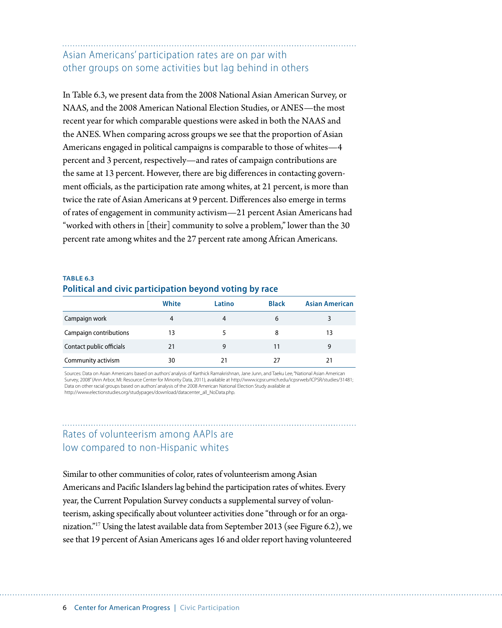Asian Americans' participation rates are on par with other groups on some activities but lag behind in others

In Table 6.3, we present data from the 2008 National Asian American Survey, or NAAS, and the 2008 American National Election Studies, or ANES—the most recent year for which comparable questions were asked in both the NAAS and the ANES. When comparing across groups we see that the proportion of Asian Americans engaged in political campaigns is comparable to those of whites—4 percent and 3 percent, respectively—and rates of campaign contributions are the same at 13 percent. However, there are big differences in contacting government officials, as the participation rate among whites, at 21 percent, is more than twice the rate of Asian Americans at 9 percent. Differences also emerge in terms of rates of engagement in community activism—21 percent Asian Americans had "worked with others in [their] community to solve a problem," lower than the 30 percent rate among whites and the 27 percent rate among African Americans.

#### **TABLE 6.3 Political and civic participation beyond voting by race**

|                          | White | Latino | <b>Black</b> | <b>Asian American</b> |
|--------------------------|-------|--------|--------------|-----------------------|
| Campaign work            | 4     | 4      | 6            |                       |
| Campaign contributions   | 13    |        | 8            | 13                    |
| Contact public officials | 21    |        | 11           | 9                     |
| Community activism       | 30    | 21     | 27           | 21                    |

Sources: Data on Asian Americans based on authors' analysis of Karthick Ramakrishnan, Jane Junn, and Taeku Lee, "National Asian American Survey, 2008" (Ann Arbor, MI: Resource Center for Minority Data, 2011), available at http://www.icpsr.umich.edu/icpsrweb/ICPSR/studies/31481; Data on other racial groups based on authors' analysis of the 2008 American National Election Study available at http://www.electionstudies.org/studypages/download/datacenter\_all\_NoData.php.

### Rates of volunteerism among AAPIs are low compared to non-Hispanic whites

Similar to other communities of color, rates of volunteerism among Asian Americans and Pacific Islanders lag behind the participation rates of whites. Every year, the Current Population Survey conducts a supplemental survey of volunteerism, asking specifically about volunteer activities done "through or for an organization."17 Using the latest available data from September 2013 (see Figure 6.2), we see that 19 percent of Asian Americans ages 16 and older report having volunteered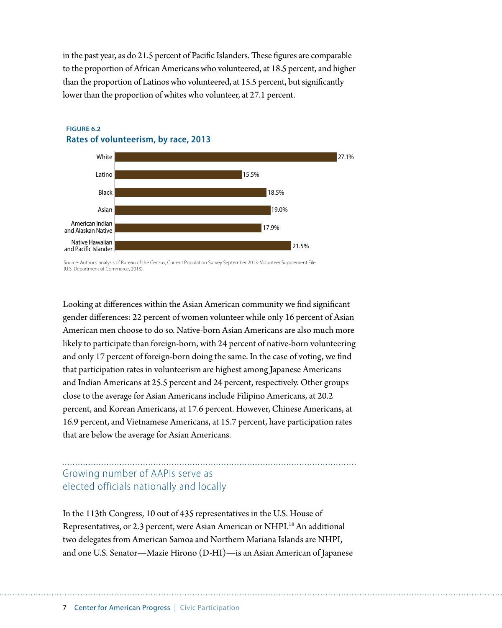in the past year, as do 21.5 percent of Pacific Islanders. These figures are comparable to the proportion of African Americans who volunteered, at 18.5 percent, and higher than the proportion of Latinos who volunteered, at 15.5 percent, but significantly lower than the proportion of whites who volunteer, at 27.1 percent.



#### **FIGURE 6.2 Rates of volunteerism, by race, 2013**

Source: Authors' analysis of Bureau of the Census, Current Population Survey September 2013: Volunteer Supplement File (U.S. Department of Commerce, 2013).

Looking at differences within the Asian American community we find significant gender differences: 22 percent of women volunteer while only 16 percent of Asian American men choose to do so. Native-born Asian Americans are also much more likely to participate than foreign-born, with 24 percent of native-born volunteering and only 17 percent of foreign-born doing the same. In the case of voting, we find that participation rates in volunteerism are highest among Japanese Americans and Indian Americans at 25.5 percent and 24 percent, respectively. Other groups close to the average for Asian Americans include Filipino Americans, at 20.2 percent, and Korean Americans, at 17.6 percent. However, Chinese Americans, at 16.9 percent, and Vietnamese Americans, at 15.7 percent, have participation rates that are below the average for Asian Americans.

### Growing number of AAPIs serve as elected officials nationally and locally

In the 113th Congress, 10 out of 435 representatives in the U.S. House of Representatives, or 2.3 percent, were Asian American or NHPI.<sup>18</sup> An additional two delegates from American Samoa and Northern Mariana Islands are NHPI, and one U.S. Senator—Mazie Hirono (D-HI)—is an Asian American of Japanese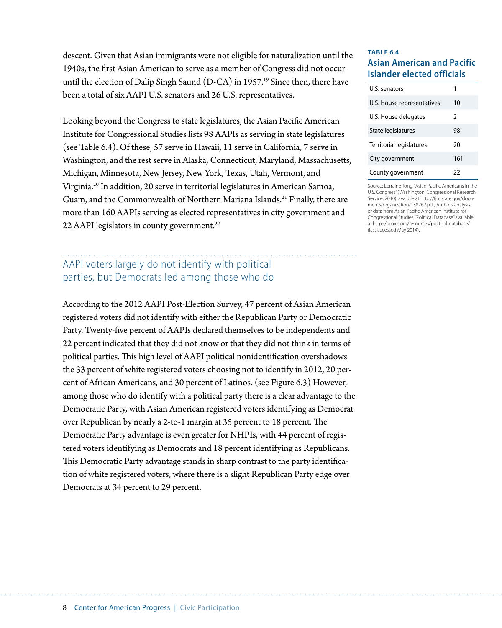descent. Given that Asian immigrants were not eligible for naturalization until the 1940s, the first Asian American to serve as a member of Congress did not occur until the election of Dalip Singh Saund  $(D-CA)$  in 1957.<sup>19</sup> Since then, there have been a total of six AAPI U.S. senators and 26 U.S. representatives.

Looking beyond the Congress to state legislatures, the Asian Pacific American Institute for Congressional Studies lists 98 AAPIs as serving in state legislatures (see Table 6.4). Of these, 57 serve in Hawaii, 11 serve in California, 7 serve in Washington, and the rest serve in Alaska, Connecticut, Maryland, Massachusetts, Michigan, Minnesota, New Jersey, New York, Texas, Utah, Vermont, and Virginia.20 In addition, 20 serve in territorial legislatures in American Samoa, Guam, and the Commonwealth of Northern Mariana Islands.<sup>21</sup> Finally, there are more than 160 AAPIs serving as elected representatives in city government and 22 AAPI legislators in county government.<sup>22</sup>

### AAPI voters largely do not identify with political parties, but Democrats led among those who do

According to the 2012 AAPI Post-Election Survey, 47 percent of Asian American registered voters did not identify with either the Republican Party or Democratic Party. Twenty-five percent of AAPIs declared themselves to be independents and 22 percent indicated that they did not know or that they did not think in terms of political parties. This high level of AAPI political nonidentification overshadows the 33 percent of white registered voters choosing not to identify in 2012, 20 percent of African Americans, and 30 percent of Latinos. (see Figure 6.3) However, among those who do identify with a political party there is a clear advantage to the Democratic Party, with Asian American registered voters identifying as Democrat over Republican by nearly a 2-to-1 margin at 35 percent to 18 percent. The Democratic Party advantage is even greater for NHPIs, with 44 percent of registered voters identifying as Democrats and 18 percent identifying as Republicans. This Democratic Party advantage stands in sharp contrast to the party identification of white registered voters, where there is a slight Republican Party edge over Democrats at 34 percent to 29 percent.

#### **TABLE 6.4 Asian American and Pacific Islander elected officials**

| U.S. senators                   | 1             |  |
|---------------------------------|---------------|--|
| U.S. House representatives      | 10            |  |
| U.S. House delegates            | $\mathcal{P}$ |  |
| State legislatures              | 98            |  |
| <b>Territorial legislatures</b> | 20            |  |
| City government                 | 161           |  |
| County government               | 22            |  |

Source: Lorraine Tong, "Asian Pacific Americans in the U.S. Congress" (Washington: Congressional Research Service, 2010), availble at [http://fpc.state.gov/docu](http://fpc.state.gov/documents/organization/138762.pdf)[ments/organization/138762.pdf](http://fpc.state.gov/documents/organization/138762.pdf); Authors' analysis of data from Asian Pacific American Institute for Congressional Studies, "Political Database" available at http://apaics.org/resources/political-database/ (last accessed May 2014).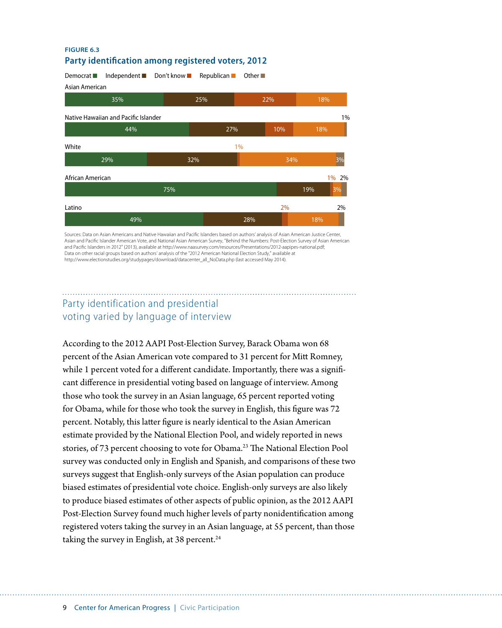#### **FIGURE 6.3 Party identification among registered voters, 2012**



Sources: Data on Asian Americans and Native Hawaiian and Pacific Islanders based on authors' analysis of Asian American Justice Center, Asian and Pacific Islander American Vote, and National Asian American Survey, "Behind the Numbers: Post-Election Survey of Asian American and Pacific Islanders in 2012" (2013), available at http://www.naasurvey.com/resources/Presentations/2012-aapipes-national.pdf; Data on other racial groups based on authors' analysis of the "2012 American National Election Study," available at http://www.electionstudies.org/studypages/download/datacenter\_all\_NoData.php (last accessed May 2014).

### Party identification and presidential voting varied by language of interview

According to the 2012 AAPI Post-Election Survey, Barack Obama won 68 percent of the Asian American vote compared to 31 percent for Mitt Romney, while 1 percent voted for a different candidate. Importantly, there was a significant difference in presidential voting based on language of interview. Among those who took the survey in an Asian language, 65 percent reported voting for Obama, while for those who took the survey in English, this figure was 72 percent. Notably, this latter figure is nearly identical to the Asian American estimate provided by the National Election Pool, and widely reported in news stories, of 73 percent choosing to vote for Obama.<sup>23</sup> The National Election Pool survey was conducted only in English and Spanish, and comparisons of these two surveys suggest that English-only surveys of the Asian population can produce biased estimates of presidential vote choice. English-only surveys are also likely to produce biased estimates of other aspects of public opinion, as the 2012 AAPI Post-Election Survey found much higher levels of party nonidentification among registered voters taking the survey in an Asian language, at 55 percent, than those taking the survey in English, at 38 percent.<sup>24</sup>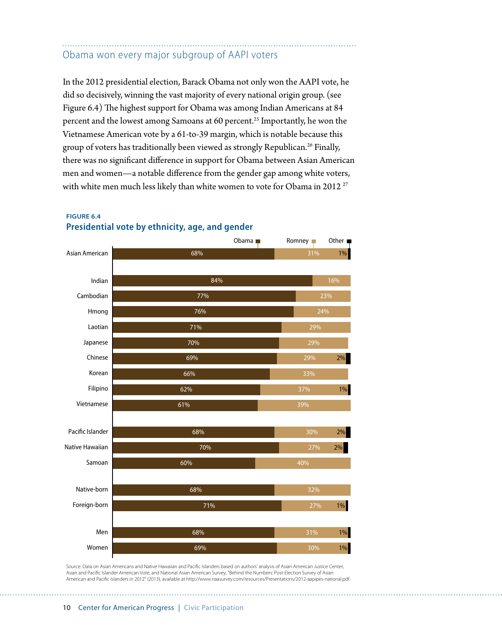### Obama won every major subgroup of AAPI voters

In the 2012 presidential election, Barack Obama not only won the AAPI vote, he did so decisively, winning the vast majority of every national origin group. (see Figure 6.4) The highest support for Obama was among Indian Americans at 84 percent and the lowest among Samoans at 60 percent.<sup>25</sup> Importantly, he won the Vietnamese American vote by a 61-to-39 margin, which is notable because this group of voters has traditionally been viewed as strongly Republican.<sup>26</sup> Finally, there was no significant difference in support for Obama between Asian American men and women—a notable difference from the gender gap among white voters, with white men much less likely than white women to vote for Obama in 2012<sup>27</sup>





Source: Data on Asian Americans and Native Hawaiian and Pacific Islanders based on authors' analysis of Asian American Justice Center, Asian and Pacific Islander American Vote, and National Asian American Survey, "Behind the Numbers: Post-Election Survey of Asian American and Pacific Islanders in 2012" (2013), available at http://www.naasurvey.com/resources/Presentations/2012-aapipes-national.pdf.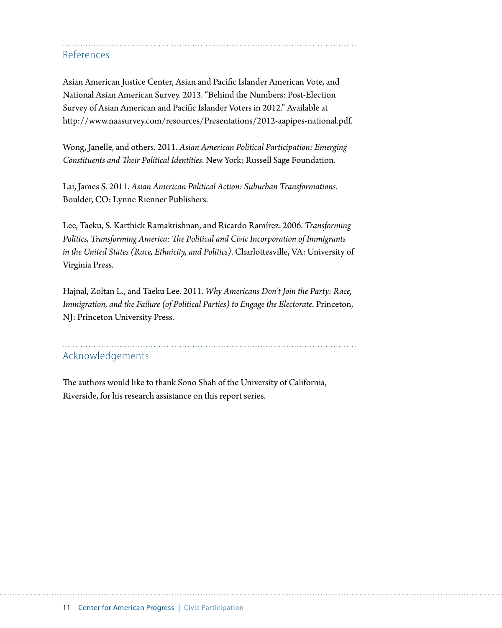References

Asian American Justice Center, Asian and Pacific Islander American Vote, and National Asian American Survey. 2013. "Behind the Numbers: Post-Election Survey of Asian American and Pacific Islander Voters in 2012." Available at <http://www.naasurvey.com/resources/Presentations/2012-aapipes-national.pdf>.

Wong, Janelle, and others. 2011. *Asian American Political Participation: Emerging Constituents and Their Political Identities*. New York: Russell Sage Foundation.

Lai, James S. 2011. *Asian American Political Action: Suburban Transformations*. Boulder, CO: Lynne Rienner Publishers.

Lee, Taeku, S. Karthick Ramakrishnan, and Ricardo Ramírez. 2006. *Transforming Politics, Transforming America: The Political and Civic Incorporation of Immigrants in the United States(Race, Ethnicity, and Politics)*. Charlottesville, VA: University of Virginia Press.

Hajnal, Zoltan L., and Taeku Lee. 2011. *Why Americans Don't Join the Party: Race, Immigration, and the Failure (of Political Parties) to Engage the Electorate. Princeton,* NJ: Princeton University Press.

# Acknowledgements

The authors would like to thank Sono Shah of the University of California, Riverside, for his research assistance on this report series.